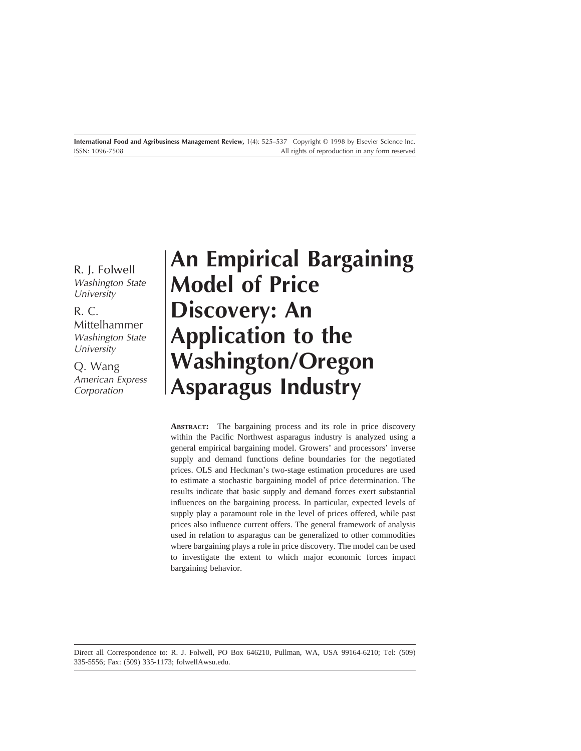R. J. Folwell Washington State **University** 

R. C. Mittelhammer Washington State **University** 

Q. Wang American Express Corporation

# **An Empirical Bargaining Model of Price Discovery: An Application to the Washington/Oregon Asparagus Industry**

**ABSTRACT:** The bargaining process and its role in price discovery within the Pacific Northwest asparagus industry is analyzed using a general empirical bargaining model. Growers' and processors' inverse supply and demand functions define boundaries for the negotiated prices. OLS and Heckman's two-stage estimation procedures are used to estimate a stochastic bargaining model of price determination. The results indicate that basic supply and demand forces exert substantial influences on the bargaining process. In particular, expected levels of supply play a paramount role in the level of prices offered, while past prices also influence current offers. The general framework of analysis used in relation to asparagus can be generalized to other commodities where bargaining plays a role in price discovery. The model can be used to investigate the extent to which major economic forces impact bargaining behavior.

Direct all Correspondence to: R. J. Folwell, PO Box 646210, Pullman, WA, USA 99164-6210; Tel: (509) 335-5556; Fax: (509) 335-1173; folwellAwsu.edu.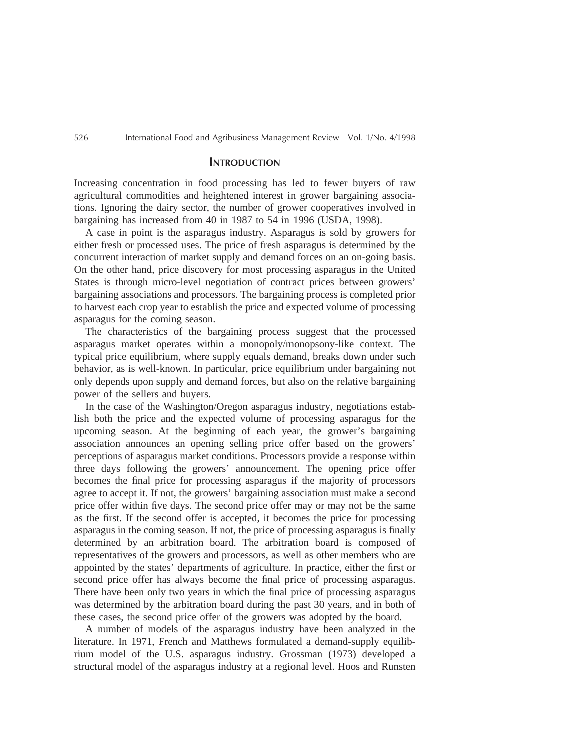## **INTRODUCTION**

Increasing concentration in food processing has led to fewer buyers of raw agricultural commodities and heightened interest in grower bargaining associations. Ignoring the dairy sector, the number of grower cooperatives involved in bargaining has increased from 40 in 1987 to 54 in 1996 (USDA, 1998).

A case in point is the asparagus industry. Asparagus is sold by growers for either fresh or processed uses. The price of fresh asparagus is determined by the concurrent interaction of market supply and demand forces on an on-going basis. On the other hand, price discovery for most processing asparagus in the United States is through micro-level negotiation of contract prices between growers' bargaining associations and processors. The bargaining process is completed prior to harvest each crop year to establish the price and expected volume of processing asparagus for the coming season.

The characteristics of the bargaining process suggest that the processed asparagus market operates within a monopoly/monopsony-like context. The typical price equilibrium, where supply equals demand, breaks down under such behavior, as is well-known. In particular, price equilibrium under bargaining not only depends upon supply and demand forces, but also on the relative bargaining power of the sellers and buyers.

In the case of the Washington/Oregon asparagus industry, negotiations establish both the price and the expected volume of processing asparagus for the upcoming season. At the beginning of each year, the grower's bargaining association announces an opening selling price offer based on the growers' perceptions of asparagus market conditions. Processors provide a response within three days following the growers' announcement. The opening price offer becomes the final price for processing asparagus if the majority of processors agree to accept it. If not, the growers' bargaining association must make a second price offer within five days. The second price offer may or may not be the same as the first. If the second offer is accepted, it becomes the price for processing asparagus in the coming season. If not, the price of processing asparagus is finally determined by an arbitration board. The arbitration board is composed of representatives of the growers and processors, as well as other members who are appointed by the states' departments of agriculture. In practice, either the first or second price offer has always become the final price of processing asparagus. There have been only two years in which the final price of processing asparagus was determined by the arbitration board during the past 30 years, and in both of these cases, the second price offer of the growers was adopted by the board.

A number of models of the asparagus industry have been analyzed in the literature. In 1971, French and Matthews formulated a demand-supply equilibrium model of the U.S. asparagus industry. Grossman (1973) developed a structural model of the asparagus industry at a regional level. Hoos and Runsten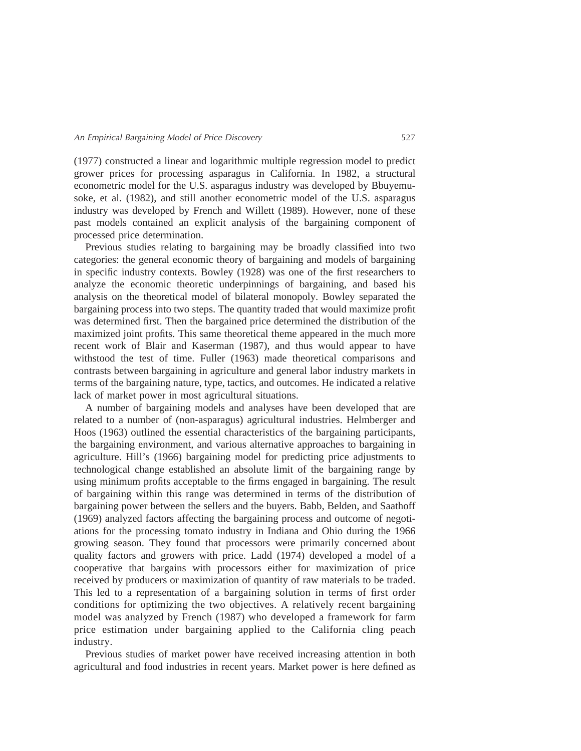(1977) constructed a linear and logarithmic multiple regression model to predict grower prices for processing asparagus in California. In 1982, a structural econometric model for the U.S. asparagus industry was developed by Bbuyemusoke, et al. (1982), and still another econometric model of the U.S. asparagus industry was developed by French and Willett (1989). However, none of these past models contained an explicit analysis of the bargaining component of processed price determination.

Previous studies relating to bargaining may be broadly classified into two categories: the general economic theory of bargaining and models of bargaining in specific industry contexts. Bowley (1928) was one of the first researchers to analyze the economic theoretic underpinnings of bargaining, and based his analysis on the theoretical model of bilateral monopoly. Bowley separated the bargaining process into two steps. The quantity traded that would maximize profit was determined first. Then the bargained price determined the distribution of the maximized joint profits. This same theoretical theme appeared in the much more recent work of Blair and Kaserman (1987), and thus would appear to have withstood the test of time. Fuller (1963) made theoretical comparisons and contrasts between bargaining in agriculture and general labor industry markets in terms of the bargaining nature, type, tactics, and outcomes. He indicated a relative lack of market power in most agricultural situations.

A number of bargaining models and analyses have been developed that are related to a number of (non-asparagus) agricultural industries. Helmberger and Hoos (1963) outlined the essential characteristics of the bargaining participants, the bargaining environment, and various alternative approaches to bargaining in agriculture. Hill's (1966) bargaining model for predicting price adjustments to technological change established an absolute limit of the bargaining range by using minimum profits acceptable to the firms engaged in bargaining. The result of bargaining within this range was determined in terms of the distribution of bargaining power between the sellers and the buyers. Babb, Belden, and Saathoff (1969) analyzed factors affecting the bargaining process and outcome of negotiations for the processing tomato industry in Indiana and Ohio during the 1966 growing season. They found that processors were primarily concerned about quality factors and growers with price. Ladd (1974) developed a model of a cooperative that bargains with processors either for maximization of price received by producers or maximization of quantity of raw materials to be traded. This led to a representation of a bargaining solution in terms of first order conditions for optimizing the two objectives. A relatively recent bargaining model was analyzed by French (1987) who developed a framework for farm price estimation under bargaining applied to the California cling peach industry.

Previous studies of market power have received increasing attention in both agricultural and food industries in recent years. Market power is here defined as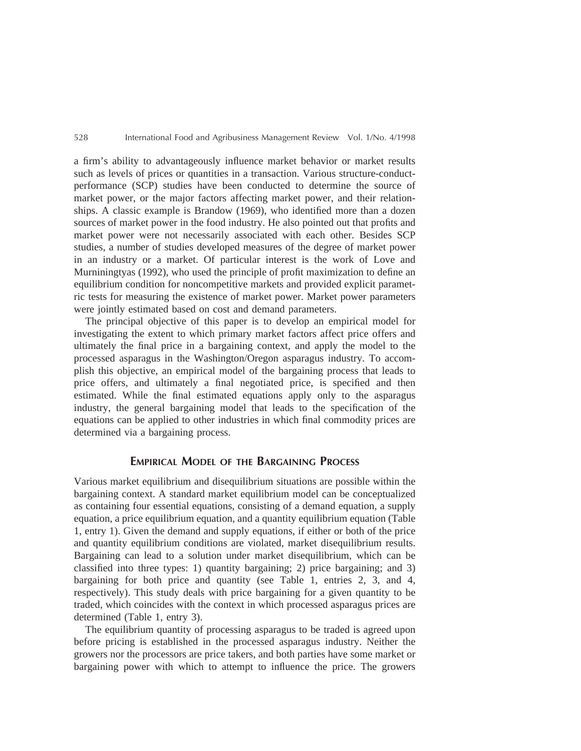a firm's ability to advantageously influence market behavior or market results such as levels of prices or quantities in a transaction. Various structure-conductperformance (SCP) studies have been conducted to determine the source of market power, or the major factors affecting market power, and their relationships. A classic example is Brandow (1969), who identified more than a dozen sources of market power in the food industry. He also pointed out that profits and market power were not necessarily associated with each other. Besides SCP studies, a number of studies developed measures of the degree of market power in an industry or a market. Of particular interest is the work of Love and Murniningtyas (1992), who used the principle of profit maximization to define an equilibrium condition for noncompetitive markets and provided explicit parametric tests for measuring the existence of market power. Market power parameters were jointly estimated based on cost and demand parameters.

The principal objective of this paper is to develop an empirical model for investigating the extent to which primary market factors affect price offers and ultimately the final price in a bargaining context, and apply the model to the processed asparagus in the Washington/Oregon asparagus industry. To accomplish this objective, an empirical model of the bargaining process that leads to price offers, and ultimately a final negotiated price, is specified and then estimated. While the final estimated equations apply only to the asparagus industry, the general bargaining model that leads to the specification of the equations can be applied to other industries in which final commodity prices are determined via a bargaining process.

# **EMPIRICAL MODEL OF THE BARGAINING PROCESS**

Various market equilibrium and disequilibrium situations are possible within the bargaining context. A standard market equilibrium model can be conceptualized as containing four essential equations, consisting of a demand equation, a supply equation, a price equilibrium equation, and a quantity equilibrium equation (Table 1, entry 1). Given the demand and supply equations, if either or both of the price and quantity equilibrium conditions are violated, market disequilibrium results. Bargaining can lead to a solution under market disequilibrium, which can be classified into three types: 1) quantity bargaining; 2) price bargaining; and 3) bargaining for both price and quantity (see Table 1, entries 2, 3, and 4, respectively). This study deals with price bargaining for a given quantity to be traded, which coincides with the context in which processed asparagus prices are determined (Table 1, entry 3).

The equilibrium quantity of processing asparagus to be traded is agreed upon before pricing is established in the processed asparagus industry. Neither the growers nor the processors are price takers, and both parties have some market or bargaining power with which to attempt to influence the price. The growers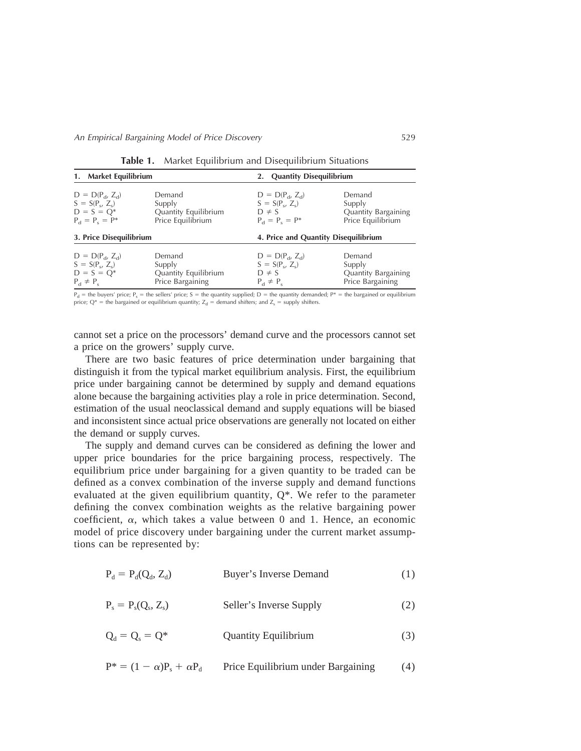| 1. Market Equilibrium      |                      | 2. Quantity Disequilibrium           |                     |  |
|----------------------------|----------------------|--------------------------------------|---------------------|--|
| $D = D(P_{d}, Z_{d})$      | Demand               | $D = D(P_{d}, Z_{d})$                | Demand              |  |
| $S = S(P_{s}, Z_{s})$      | Supply               | $S = S(P_s, Z_s)$                    | Supply              |  |
| $D = S = Q^*$              | Quantity Equilibrium | $D \neq S$                           | Quantity Bargaining |  |
| $P_{d} = P_{s} = P^{*}$    | Price Equilibrium    | $P_{d} = P_{s} = P^{*}$              | Price Equilibrium   |  |
| 3. Price Disequilibrium    |                      | 4. Price and Quantity Disequilibrium |                     |  |
| $D = D(P_{d}, Z_{d})$      | Demand               | $D = D(P_{d}, Z_{d})$                | Demand              |  |
| $S = S(P_c, Z_c)$          | Supply               | $S = S(P_c, Z_c)$                    | Supply              |  |
| $D = S = Q^*$              | Quantity Equilibrium | $D \neq S$                           | Quantity Bargaining |  |
| $P_{\rm d} \neq P_{\rm s}$ | Price Bargaining     | $P_{d} \neq P_{s}$                   | Price Bargaining    |  |

**Table 1.** Market Equilibrium and Disequilibrium Situations

 $P_d$  = the buyers' price;  $P_s$  = the sellers' price; S = the quantity supplied; D = the quantity demanded; P\* = the bargained or equilibrium price;  $Q^*$  = the bargained or equilibrium quantity;  $Z_d$  = demand shifters; and  $Z_s$  = supply shifters.

cannot set a price on the processors' demand curve and the processors cannot set a price on the growers' supply curve.

There are two basic features of price determination under bargaining that distinguish it from the typical market equilibrium analysis. First, the equilibrium price under bargaining cannot be determined by supply and demand equations alone because the bargaining activities play a role in price determination. Second, estimation of the usual neoclassical demand and supply equations will be biased and inconsistent since actual price observations are generally not located on either the demand or supply curves.

The supply and demand curves can be considered as defining the lower and upper price boundaries for the price bargaining process, respectively. The equilibrium price under bargaining for a given quantity to be traded can be defined as a convex combination of the inverse supply and demand functions evaluated at the given equilibrium quantity, Q\*. We refer to the parameter defining the convex combination weights as the relative bargaining power coefficient,  $\alpha$ , which takes a value between 0 and 1. Hence, an economic model of price discovery under bargaining under the current market assumptions can be represented by:

$$
P_d = P_d(Q_d, Z_d)
$$
 *Buyer's Inverse Demand* (1)

 $P_s = P_s(Q_s, Z_s)$  Seller's Inverse Supply (2)

 $Q_d = Q_s = Q^*$  Quantity Equilibrium (3)

 $P^* = (1 - \alpha)P_s + \alpha P_d$  Price Equilibrium under Bargaining (4)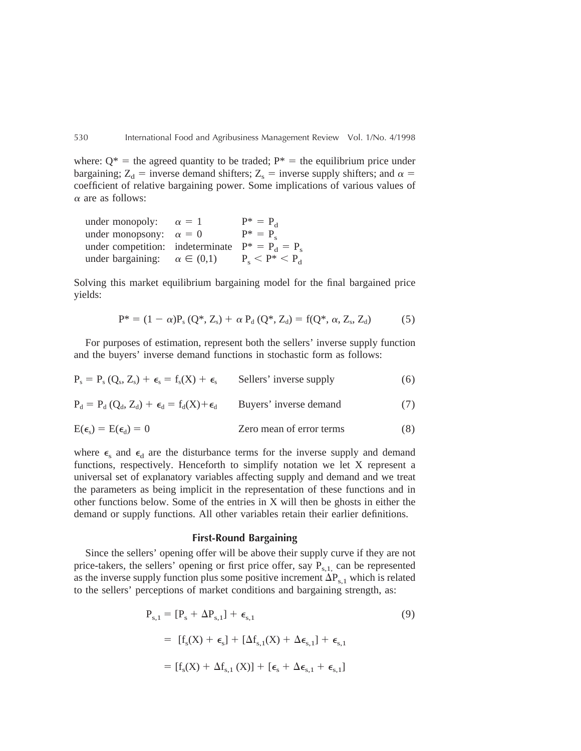where:  $Q^*$  = the agreed quantity to be traded;  $P^*$  = the equilibrium price under bargaining;  $Z_d$  = inverse demand shifters;  $Z_s$  = inverse supply shifters; and  $\alpha$  = coefficient of relative bargaining power. Some implications of various values of  $\alpha$  are as follows:

| under monopoly:                                    | $\alpha = 1$       | $P^* = P_d$                       |
|----------------------------------------------------|--------------------|-----------------------------------|
| under monopsony: $\alpha = 0$                      |                    | $P^* = P_c$                       |
| under competition: indeterminate $P^* = P_d = P_s$ |                    |                                   |
| under bargaining:                                  | $\alpha \in (0,1)$ | $P_{\rm c}$ < $P^*$ < $P_{\rm d}$ |

Solving this market equilibrium bargaining model for the final bargained price yields:

$$
P^* = (1 - \alpha)P_s (Q^*, Z_s) + \alpha P_d (Q^*, Z_d) = f(Q^*, \alpha, Z_s, Z_d)
$$
(5)

For purposes of estimation, represent both the sellers' inverse supply function and the buyers' inverse demand functions in stochastic form as follows:

$$
P_s = P_s (Q_s, Z_s) + \epsilon_s = f_s(X) + \epsilon_s
$$
 Sellers' inverse supply (6)

$$
P_d = P_d (Q_d, Z_d) + \epsilon_d = f_d(X) + \epsilon_d
$$
 Buyers' inverse demand (7)

$$
E(\epsilon_{s}) = E(\epsilon_{d}) = 0
$$
 Zero mean of error terms (8)

where  $\epsilon_{s}$  and  $\epsilon_{d}$  are the disturbance terms for the inverse supply and demand functions, respectively. Henceforth to simplify notation we let X represent a universal set of explanatory variables affecting supply and demand and we treat the parameters as being implicit in the representation of these functions and in other functions below. Some of the entries in X will then be ghosts in either the demand or supply functions. All other variables retain their earlier definitions.

## **First-Round Bargaining**

Since the sellers' opening offer will be above their supply curve if they are not price-takers, the sellers' opening or first price offer, say  $P_{s,1}$  can be represented as the inverse supply function plus some positive increment  $\Delta P_{s,1}$  which is related to the sellers' perceptions of market conditions and bargaining strength, as:

$$
P_{s,1} = [P_s + \Delta P_{s,1}] + \epsilon_{s,1}
$$
\n
$$
= [f_s(X) + \epsilon_s] + [\Delta f_{s,1}(X) + \Delta \epsilon_{s,1}] + \epsilon_{s,1}
$$
\n
$$
= [f_s(X) + \Delta f_{s,1}(X)] + [\epsilon_s + \Delta \epsilon_{s,1} + \epsilon_{s,1}]
$$
\n(9)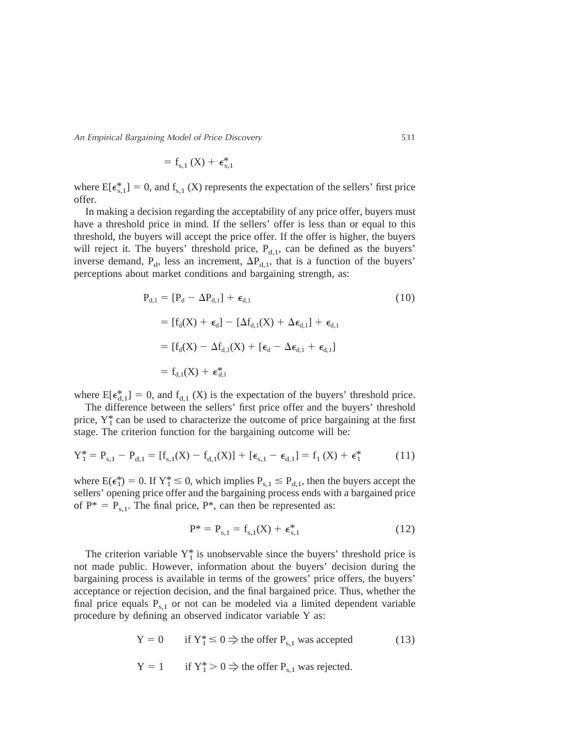An Empirical Bargaining Model of Price Discovery 531

$$
=f_{s,1}\left( X\right) +\,\varepsilon_{s,1}^{\ast}%
$$

where  $E[\epsilon_{s,1}^*] = 0$ , and  $f_{s,1}$  (X) represents the expectation of the sellers' first price offer.

In making a decision regarding the acceptability of any price offer, buyers must have a threshold price in mind. If the sellers' offer is less than or equal to this threshold, the buyers will accept the price offer. If the offer is higher, the buyers will reject it. The buyers' threshold price,  $P_{d,1}$ , can be defined as the buyers' inverse demand,  $P_d$ , less an increment,  $\Delta P_{d,1}$ , that is a function of the buyers' perceptions about market conditions and bargaining strength, as:

$$
P_{d,1} = [P_d - \Delta P_{d,1}] + \epsilon_{d,1}
$$
\n
$$
= [f_d(X) + \epsilon_d] - [\Delta f_{d,1}(X) + \Delta \epsilon_{d,1}] + \epsilon_{d,1}
$$
\n
$$
= [f_d(X) - \Delta f_{d,1}(X) + [\epsilon_d - \Delta \epsilon_{d,1} + \epsilon_{d,1}]
$$
\n
$$
= f_{d,1}(X) + \epsilon_{d,1}^*
$$
\n(10)

where  $E[\epsilon_{d,1}^*] = 0$ , and  $f_{d,1}$  (X) is the expectation of the buyers' threshold price.

The difference between the sellers' first price offer and the buyers' threshold price,  $Y_1^*$  can be used to characterize the outcome of price bargaining at the first stage. The criterion function for the bargaining outcome will be:

$$
Y_1^* = P_{s,1} - P_{d,1} = [f_{s,1}(X) - f_{d,1}(X)] + [\epsilon_{s,1} - \epsilon_{d,1}] = f_1(X) + \epsilon_1^*
$$
(11)

where  $E(\epsilon_1^*) = 0$ . If  $Y_1^* \le 0$ , which implies  $P_{s,1} \le P_{d,1}$ , then the buyers accept the sellers' opening price offer and the bargaining process ends with a bargained price of  $P^* = P_{s,1}$ . The final price,  $P^*$ , can then be represented as:

$$
P^* = P_{s,1} = f_{s,1}(X) + \epsilon_{s,1}^*
$$
 (12)

The criterion variable  $Y_1^*$  is unobservable since the buyers' threshold price is not made public. However, information about the buyers' decision during the bargaining process is available in terms of the growers' price offers, the buyers' acceptance or rejection decision, and the final bargained price. Thus, whether the final price equals  $P_{s,1}$  or not can be modeled via a limited dependent variable procedure by defining an observed indicator variable Y as:

$$
Y = 0 \t\t \text{if } Y_1^* \le 0 \Rightarrow \text{the offer } P_{s,1} \text{ was accepted} \t\t (13)
$$

$$
Y = 1 \qquad \text{if } Y_1^* > 0 \Rightarrow \text{the offer } P_{s,1} \text{ was rejected.}
$$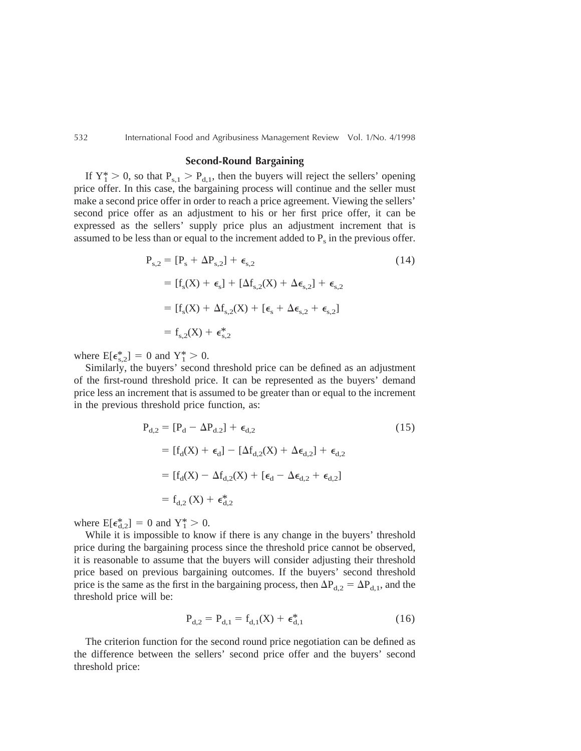#### **Second-Round Bargaining**

If  $Y_1^* > 0$ , so that  $P_{s,1} > P_{d,1}$ , then the buyers will reject the sellers' opening price offer. In this case, the bargaining process will continue and the seller must make a second price offer in order to reach a price agreement. Viewing the sellers' second price offer as an adjustment to his or her first price offer, it can be expressed as the sellers' supply price plus an adjustment increment that is assumed to be less than or equal to the increment added to  $P_s$  in the previous offer.

$$
P_{s,2} = [P_s + \Delta P_{s,2}] + \epsilon_{s,2}
$$
\n
$$
= [f_s(X) + \epsilon_s] + [\Delta f_{s,2}(X) + \Delta \epsilon_{s,2}] + \epsilon_{s,2}
$$
\n
$$
= [f_s(X) + \Delta f_{s,2}(X) + [\epsilon_s + \Delta \epsilon_{s,2} + \epsilon_{s,2}]
$$
\n
$$
= f_{s,2}(X) + \epsilon_{s,2}^*
$$
\n(14)

where  $E[\epsilon_{s,2}^{*}] = 0$  and  $Y_{1}^{*} > 0$ .

Similarly, the buyers' second threshold price can be defined as an adjustment of the first-round threshold price. It can be represented as the buyers' demand price less an increment that is assumed to be greater than or equal to the increment in the previous threshold price function, as:

$$
P_{d,2} = [P_d - \Delta P_{d,2}] + \epsilon_{d,2}
$$
\n
$$
= [f_d(X) + \epsilon_d] - [\Delta f_{d,2}(X) + \Delta \epsilon_{d,2}] + \epsilon_{d,2}
$$
\n
$$
= [f_d(X) - \Delta f_{d,2}(X) + [\epsilon_d - \Delta \epsilon_{d,2} + \epsilon_{d,2}]
$$
\n
$$
= f_{d,2}(X) + \epsilon_{d,2}^*
$$
\n(15)

where  $E[\epsilon_{d,2}^*] = 0$  and  $Y_1^* > 0$ .

While it is impossible to know if there is any change in the buyers' threshold price during the bargaining process since the threshold price cannot be observed, it is reasonable to assume that the buyers will consider adjusting their threshold price based on previous bargaining outcomes. If the buyers' second threshold price is the same as the first in the bargaining process, then  $\Delta P_{d2} = \Delta P_{d1}$ , and the threshold price will be:

$$
P_{d,2} = P_{d,1} = f_{d,1}(X) + \epsilon_{d,1}^{*}
$$
 (16)

The criterion function for the second round price negotiation can be defined as the difference between the sellers' second price offer and the buyers' second threshold price: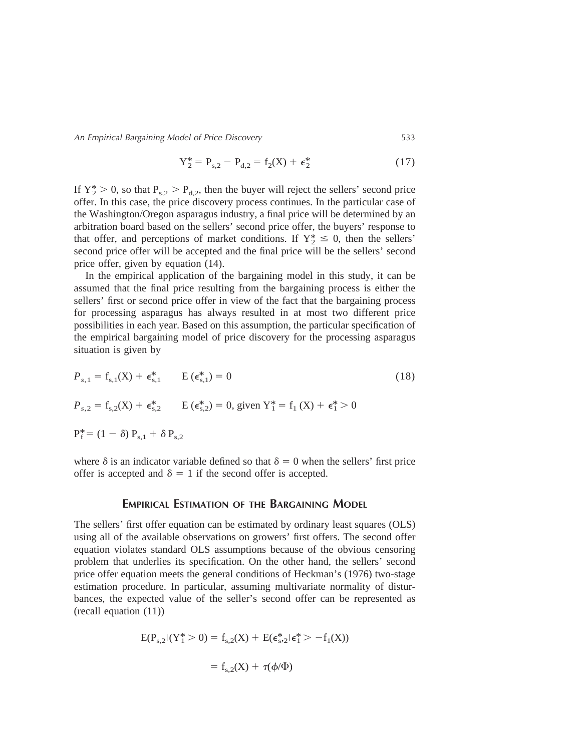An Empirical Bargaining Model of Price Discovery 533

$$
Y_2^* = P_{s,2} - P_{d,2} = f_2(X) + \epsilon_2^*
$$
 (17)

If  $Y_2^* > 0$ , so that  $P_{s,2} > P_{d,2}$ , then the buyer will reject the sellers' second price offer. In this case, the price discovery process continues. In the particular case of the Washington/Oregon asparagus industry, a final price will be determined by an arbitration board based on the sellers' second price offer, the buyers' response to that offer, and perceptions of market conditions. If  $Y_2^* \leq 0$ , then the sellers' second price offer will be accepted and the final price will be the sellers' second price offer, given by equation (14).

In the empirical application of the bargaining model in this study, it can be assumed that the final price resulting from the bargaining process is either the sellers' first or second price offer in view of the fact that the bargaining process for processing asparagus has always resulted in at most two different price possibilities in each year. Based on this assumption, the particular specification of the empirical bargaining model of price discovery for the processing asparagus situation is given by

$$
P_{s,1} = f_{s,1}(X) + \epsilon_{s,1}^{*} \qquad E(\epsilon_{s,1}^{*}) = 0
$$
\n
$$
P_{s,2} = f_{s,2}(X) + \epsilon_{s,2}^{*} \qquad E(\epsilon_{s,2}^{*}) = 0, \text{ given } Y_{1}^{*} = f_{1}(X) + \epsilon_{1}^{*} > 0
$$
\n
$$
P_{f}^{*} = (1 - \delta) P_{s,1} + \delta P_{s,2}
$$
\n(18)

where  $\delta$  is an indicator variable defined so that  $\delta = 0$  when the sellers' first price offer is accepted and  $\delta = 1$  if the second offer is accepted.

# **EMPIRICAL ESTIMATION OF THE BARGAINING MODEL**

The sellers' first offer equation can be estimated by ordinary least squares (OLS) using all of the available observations on growers' first offers. The second offer equation violates standard OLS assumptions because of the obvious censoring problem that underlies its specification. On the other hand, the sellers' second price offer equation meets the general conditions of Heckman's (1976) two-stage estimation procedure. In particular, assuming multivariate normality of disturbances, the expected value of the seller's second offer can be represented as (recall equation (11))

$$
E(P_{s,2}|(Y_1^* > 0) = f_{s,2}(X) + E(\epsilon_{s,2}^* | \epsilon_1^* > -f_1(X))
$$

$$
= f_{s,2}(X) + \tau(\phi/\Phi)
$$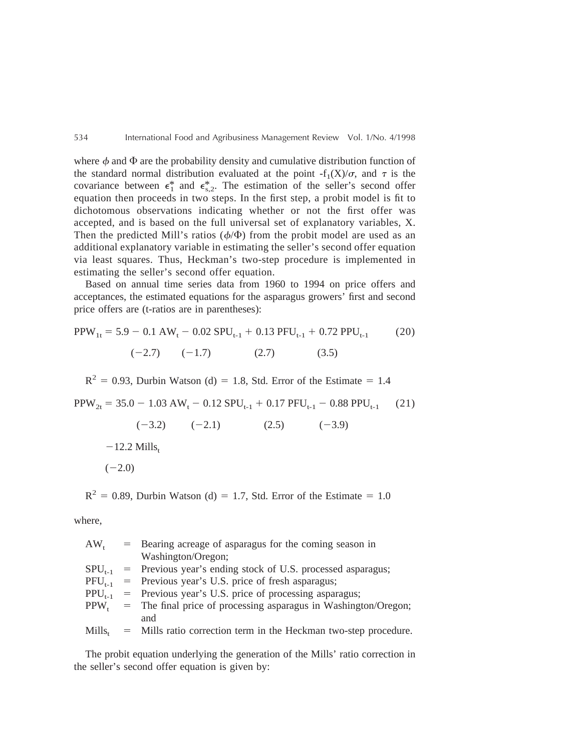where  $\phi$  and  $\Phi$  are the probability density and cumulative distribution function of the standard normal distribution evaluated at the point  $-f_1(X)/\sigma$ , and  $\tau$  is the covariance between  $\epsilon_1^*$  and  $\epsilon_{s,2}^*$ . The estimation of the seller's second offer equation then proceeds in two steps. In the first step, a probit model is fit to dichotomous observations indicating whether or not the first offer was accepted, and is based on the full universal set of explanatory variables, X. Then the predicted Mill's ratios  $(\phi/\Phi)$  from the probit model are used as an additional explanatory variable in estimating the seller's second offer equation via least squares. Thus, Heckman's two-step procedure is implemented in estimating the seller's second offer equation.

Based on annual time series data from 1960 to 1994 on price offers and acceptances, the estimated equations for the asparagus growers' first and second price offers are (t-ratios are in parentheses):

$$
PPW_{1t} = 5.9 - 0.1 \text{ AW}_{t} - 0.02 \text{ SPU}_{t-1} + 0.13 \text{ PFU}_{t-1} + 0.72 \text{ PPU}_{t-1}
$$
 (20)  

$$
(-2.7) \qquad (-1.7) \qquad (2.7) \qquad (3.5)
$$

 $R^{2} = 0.93$ , Durbin Watson (d) = 1.8, Std. Error of the Estimate = 1.4

$$
PPW_{2t} = 35.0 - 1.03 \text{ AW}_{t} - 0.12 \text{ SPU}_{t-1} + 0.17 \text{ PFU}_{t-1} - 0.88 \text{ PPU}_{t-1} \tag{21}
$$

$$
(-3.2)
$$
  $(-2.1)$   $(2.5)$   $(-3.9)$   
-12.2 Mills<sub>t</sub>  $(-2.0)$ 

 $R^{2} = 0.89$ , Durbin Watson (d) = 1.7, Std. Error of the Estimate = 1.0

where,

|             | = Bearing acreage of asparagus for the coming season in          |
|-------------|------------------------------------------------------------------|
|             | Washington/Oregon;                                               |
|             | = Previous year's ending stock of U.S. processed asparagus;      |
|             | = Previous year's U.S. price of fresh asparagus;                 |
|             | = Previous year's U.S. price of processing asparagus;            |
|             | = The final price of processing asparagus in Washington/Oregon;  |
|             | and                                                              |
| $Mills_{t}$ | = Mills ratio correction term in the Heckman two-step procedure. |
|             |                                                                  |

The probit equation underlying the generation of the Mills' ratio correction in the seller's second offer equation is given by: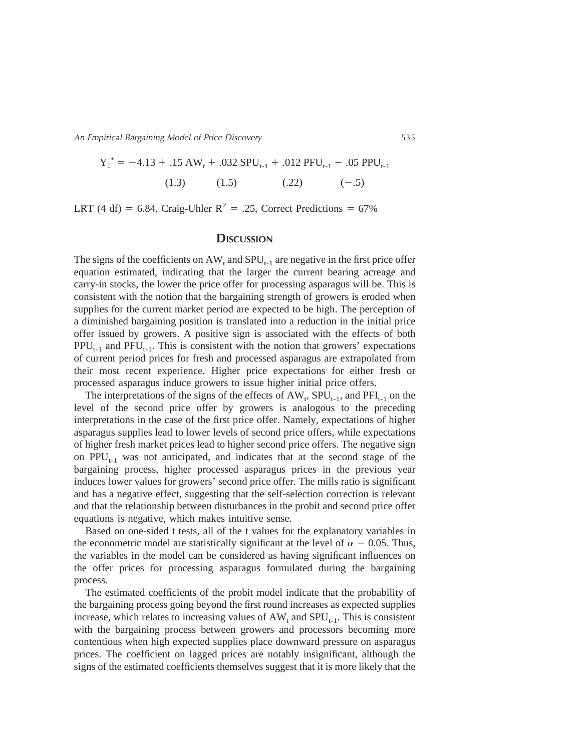An Empirical Bargaining Model of Price Discovery 535

$$
Y_1^* = -4.13 + .15 \text{ AW}_t + .032 \text{ SPU}_{t-1} + .012 \text{ PFU}_{t-1} - .05 \text{ PPU}_{t-1}
$$
  
(1.3) (1.5) (.22) (-.5)

LRT (4 df) = 6.84, Craig-Uhler  $R^2$  = .25, Correct Predictions = 67%

# **DISCUSSION**

The signs of the coefficients on  $AW_t$  and  $SPU_{t-1}$  are negative in the first price offer equation estimated, indicating that the larger the current bearing acreage and carry-in stocks, the lower the price offer for processing asparagus will be. This is consistent with the notion that the bargaining strength of growers is eroded when supplies for the current market period are expected to be high. The perception of a diminished bargaining position is translated into a reduction in the initial price offer issued by growers. A positive sign is associated with the effects of both  $PPU_{t-1}$  and  $PFU_{t-1}$ . This is consistent with the notion that growers' expectations of current period prices for fresh and processed asparagus are extrapolated from their most recent experience. Higher price expectations for either fresh or processed asparagus induce growers to issue higher initial price offers.

The interpretations of the signs of the effects of  $AW_t$ ,  $SPU_{t-1}$ , and  $PFI_{t-1}$  on the level of the second price offer by growers is analogous to the preceding interpretations in the case of the first price offer. Namely, expectations of higher asparagus supplies lead to lower levels of second price offers, while expectations of higher fresh market prices lead to higher second price offers. The negative sign on  $PPU_{t-1}$  was not anticipated, and indicates that at the second stage of the bargaining process, higher processed asparagus prices in the previous year induces lower values for growers' second price offer. The mills ratio is significant and has a negative effect, suggesting that the self-selection correction is relevant and that the relationship between disturbances in the probit and second price offer equations is negative, which makes intuitive sense.

Based on one-sided t tests, all of the t values for the explanatory variables in the econometric model are statistically significant at the level of  $\alpha = 0.05$ . Thus, the variables in the model can be considered as having significant influences on the offer prices for processing asparagus formulated during the bargaining process.

The estimated coefficients of the probit model indicate that the probability of the bargaining process going beyond the first round increases as expected supplies increase, which relates to increasing values of  $AW_t$  and  $SPU_{t-1}$ . This is consistent with the bargaining process between growers and processors becoming more contentious when high expected supplies place downward pressure on asparagus prices. The coefficient on lagged prices are notably insignificant, although the signs of the estimated coefficients themselves suggest that it is more likely that the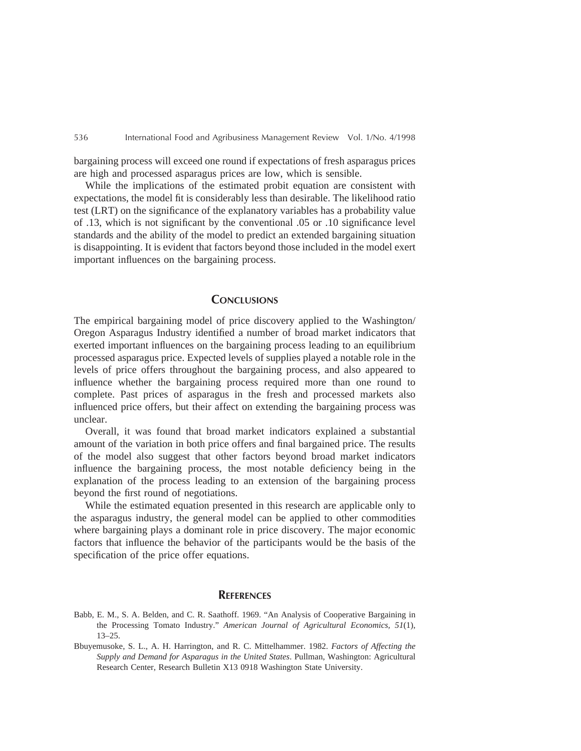bargaining process will exceed one round if expectations of fresh asparagus prices are high and processed asparagus prices are low, which is sensible.

While the implications of the estimated probit equation are consistent with expectations, the model fit is considerably less than desirable. The likelihood ratio test (LRT) on the significance of the explanatory variables has a probability value of .13, which is not significant by the conventional .05 or .10 significance level standards and the ability of the model to predict an extended bargaining situation is disappointing. It is evident that factors beyond those included in the model exert important influences on the bargaining process.

# **CONCLUSIONS**

The empirical bargaining model of price discovery applied to the Washington/ Oregon Asparagus Industry identified a number of broad market indicators that exerted important influences on the bargaining process leading to an equilibrium processed asparagus price. Expected levels of supplies played a notable role in the levels of price offers throughout the bargaining process, and also appeared to influence whether the bargaining process required more than one round to complete. Past prices of asparagus in the fresh and processed markets also influenced price offers, but their affect on extending the bargaining process was unclear.

Overall, it was found that broad market indicators explained a substantial amount of the variation in both price offers and final bargained price. The results of the model also suggest that other factors beyond broad market indicators influence the bargaining process, the most notable deficiency being in the explanation of the process leading to an extension of the bargaining process beyond the first round of negotiations.

While the estimated equation presented in this research are applicable only to the asparagus industry, the general model can be applied to other commodities where bargaining plays a dominant role in price discovery. The major economic factors that influence the behavior of the participants would be the basis of the specification of the price offer equations.

## **REFERENCES**

- Babb, E. M., S. A. Belden, and C. R. Saathoff. 1969. "An Analysis of Cooperative Bargaining in the Processing Tomato Industry." *American Journal of Agricultural Economics, 51*(1), 13–25.
- Bbuyemusoke, S. L., A. H. Harrington, and R. C. Mittelhammer. 1982. *Factors of Affecting the Supply and Demand for Asparagus in the United States*. Pullman, Washington: Agricultural Research Center, Research Bulletin X13 0918 Washington State University.